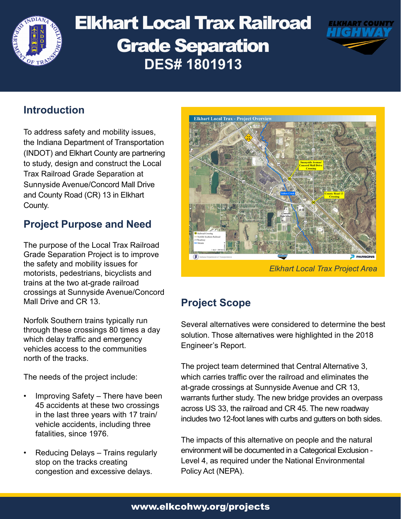

# Elkhart Local Trax Railroad Grade Separation **DES# 1801913**



# **Introduction**

To address safety and mobility issues, the Indiana Department of Transportation (INDOT) and Elkhart County are partnering to study, design and construct the Local Trax Railroad Grade Separation at Sunnyside Avenue/Concord Mall Drive and County Road (CR) 13 in Elkhart County.

# **Project Purpose and Need**

The purpose of the Local Trax Railroad Grade Separation Project is to improve the safety and mobility issues for motorists, pedestrians, bicyclists and trains at the two at-grade railroad crossings at Sunnyside Avenue/Concord Mall Drive and CR 13.

Norfolk Southern trains typically run through these crossings 80 times a day which delay traffic and emergency vehicles access to the communities north of the tracks.

The needs of the project include:

- Improving Safety There have been 45 accidents at these two crossings in the last three years with 17 train/ vehicle accidents, including three fatalities, since 1976.
- Reducing Delays Trains regularly stop on the tracks creating congestion and excessive delays.



*Elkhart Local Trax Project Area*

# **Project Scope**

Several alternatives were considered to determine the best solution. Those alternatives were highlighted in the 2018 Engineer's Report.

The project team determined that Central Alternative 3, which carries traffic over the railroad and eliminates the at-grade crossings at Sunnyside Avenue and CR 13, warrants further study. The new bridge provides an overpass across US 33, the railroad and CR 45. The new roadway includes two 12-foot lanes with curbs and gutters on both sides.

The impacts of this alternative on people and the natural environment will be documented in a Categorical Exclusion - Level 4, as required under the National Environmental Policy Act (NEPA).